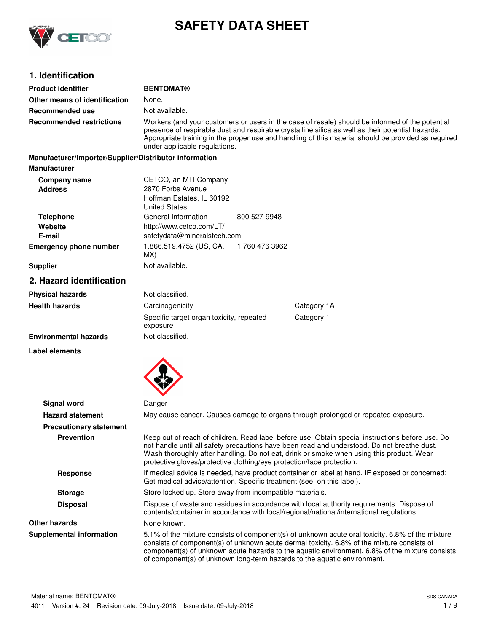

# **SAFETY DATA SHEET**

# **1. Identification**

| <b>Product identifier</b>                              | <b>BENTOMAT®</b>                                                                                                                                                                                                                                                                                                                             |                |                                                                                                                                                                                                                                                                                                                                                                              |
|--------------------------------------------------------|----------------------------------------------------------------------------------------------------------------------------------------------------------------------------------------------------------------------------------------------------------------------------------------------------------------------------------------------|----------------|------------------------------------------------------------------------------------------------------------------------------------------------------------------------------------------------------------------------------------------------------------------------------------------------------------------------------------------------------------------------------|
| Other means of identification                          | None.                                                                                                                                                                                                                                                                                                                                        |                |                                                                                                                                                                                                                                                                                                                                                                              |
| <b>Recommended use</b>                                 | Not available.                                                                                                                                                                                                                                                                                                                               |                |                                                                                                                                                                                                                                                                                                                                                                              |
| <b>Recommended restrictions</b>                        | Workers (and your customers or users in the case of resale) should be informed of the potential<br>presence of respirable dust and respirable crystalline silica as well as their potential hazards.<br>Appropriate training in the proper use and handling of this material should be provided as required<br>under applicable regulations. |                |                                                                                                                                                                                                                                                                                                                                                                              |
| Manufacturer/Importer/Supplier/Distributor information |                                                                                                                                                                                                                                                                                                                                              |                |                                                                                                                                                                                                                                                                                                                                                                              |
| <b>Manufacturer</b>                                    |                                                                                                                                                                                                                                                                                                                                              |                |                                                                                                                                                                                                                                                                                                                                                                              |
| Company name<br><b>Address</b>                         | CETCO, an MTI Company<br>2870 Forbs Avenue<br>Hoffman Estates, IL 60192<br><b>United States</b>                                                                                                                                                                                                                                              |                |                                                                                                                                                                                                                                                                                                                                                                              |
| <b>Telephone</b><br>Website<br>E-mail                  | General Information<br>http://www.cetco.com/LT/<br>safetydata@mineralstech.com                                                                                                                                                                                                                                                               | 800 527-9948   |                                                                                                                                                                                                                                                                                                                                                                              |
| <b>Emergency phone number</b>                          | 1.866.519.4752 (US, CA,<br>MX)                                                                                                                                                                                                                                                                                                               | 1 760 476 3962 |                                                                                                                                                                                                                                                                                                                                                                              |
| <b>Supplier</b>                                        | Not available.                                                                                                                                                                                                                                                                                                                               |                |                                                                                                                                                                                                                                                                                                                                                                              |
| 2. Hazard identification                               |                                                                                                                                                                                                                                                                                                                                              |                |                                                                                                                                                                                                                                                                                                                                                                              |
| <b>Physical hazards</b>                                | Not classified.                                                                                                                                                                                                                                                                                                                              |                |                                                                                                                                                                                                                                                                                                                                                                              |
| <b>Health hazards</b>                                  | Carcinogenicity                                                                                                                                                                                                                                                                                                                              |                | Category 1A                                                                                                                                                                                                                                                                                                                                                                  |
|                                                        | Specific target organ toxicity, repeated<br>exposure                                                                                                                                                                                                                                                                                         |                | Category 1                                                                                                                                                                                                                                                                                                                                                                   |
| <b>Environmental hazards</b>                           | Not classified.                                                                                                                                                                                                                                                                                                                              |                |                                                                                                                                                                                                                                                                                                                                                                              |
| Label elements                                         |                                                                                                                                                                                                                                                                                                                                              |                |                                                                                                                                                                                                                                                                                                                                                                              |
| Signal word                                            | Danger                                                                                                                                                                                                                                                                                                                                       |                |                                                                                                                                                                                                                                                                                                                                                                              |
| <b>Hazard statement</b>                                |                                                                                                                                                                                                                                                                                                                                              |                | May cause cancer. Causes damage to organs through prolonged or repeated exposure.                                                                                                                                                                                                                                                                                            |
| <b>Precautionary statement</b>                         |                                                                                                                                                                                                                                                                                                                                              |                |                                                                                                                                                                                                                                                                                                                                                                              |
| <b>Prevention</b>                                      | protective gloves/protective clothing/eye protection/face protection.                                                                                                                                                                                                                                                                        |                | Keep out of reach of children. Read label before use. Obtain special instructions before use. Do<br>not handle until all safety precautions have been read and understood. Do not breathe dust.<br>Wash thoroughly after handling. Do not eat, drink or smoke when using this product. Wear                                                                                  |
| Response                                               | Get medical advice/attention. Specific treatment (see on this label).                                                                                                                                                                                                                                                                        |                | If medical advice is needed, have product container or label at hand. IF exposed or concerned:                                                                                                                                                                                                                                                                               |
| <b>Storage</b>                                         | Store locked up. Store away from incompatible materials.                                                                                                                                                                                                                                                                                     |                |                                                                                                                                                                                                                                                                                                                                                                              |
| <b>Disposal</b>                                        |                                                                                                                                                                                                                                                                                                                                              |                | Dispose of waste and residues in accordance with local authority requirements. Dispose of<br>contents/container in accordance with local/regional/national/international regulations.                                                                                                                                                                                        |
| <b>Other hazards</b>                                   | None known.                                                                                                                                                                                                                                                                                                                                  |                |                                                                                                                                                                                                                                                                                                                                                                              |
| <b>Supplemental information</b>                        |                                                                                                                                                                                                                                                                                                                                              |                | 5.1% of the mixture consists of component(s) of unknown acute oral toxicity. 6.8% of the mixture<br>consists of component(s) of unknown acute dermal toxicity. 6.8% of the mixture consists of<br>component(s) of unknown acute hazards to the aquatic environment. 6.8% of the mixture consists<br>of component(s) of unknown long-term hazards to the aquatic environment. |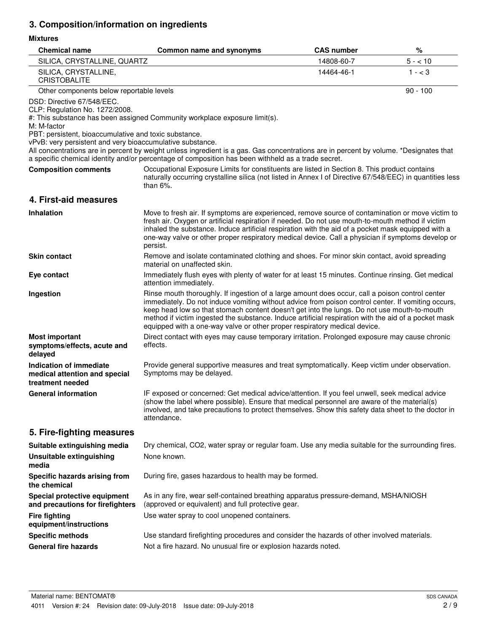# **3. Composition/information on ingredients**

## **Mixtures**

| <b>Chemical name</b>                                                                                                                                                                              | Common name and synonyms                                                                                                                                                                                                                                                                                                                                                                                                                                                                  | <b>CAS number</b> | %          |
|---------------------------------------------------------------------------------------------------------------------------------------------------------------------------------------------------|-------------------------------------------------------------------------------------------------------------------------------------------------------------------------------------------------------------------------------------------------------------------------------------------------------------------------------------------------------------------------------------------------------------------------------------------------------------------------------------------|-------------------|------------|
| SILICA, CRYSTALLINE, QUARTZ                                                                                                                                                                       |                                                                                                                                                                                                                                                                                                                                                                                                                                                                                           | 14808-60-7        | $5 - 10$   |
| SILICA, CRYSTALLINE,<br><b>CRISTOBALITE</b>                                                                                                                                                       |                                                                                                                                                                                                                                                                                                                                                                                                                                                                                           | 14464-46-1        | $1 - < 3$  |
| Other components below reportable levels                                                                                                                                                          |                                                                                                                                                                                                                                                                                                                                                                                                                                                                                           |                   | $90 - 100$ |
| DSD: Directive 67/548/EEC.<br>CLP: Regulation No. 1272/2008.<br>M: M-factor<br>PBT: persistent, bioaccumulative and toxic substance.<br>vPvB: very persistent and very bioaccumulative substance. | #: This substance has been assigned Community workplace exposure limit(s).<br>All concentrations are in percent by weight unless ingredient is a gas. Gas concentrations are in percent by volume. *Designates that                                                                                                                                                                                                                                                                       |                   |            |
|                                                                                                                                                                                                   | a specific chemical identity and/or percentage of composition has been withheld as a trade secret.                                                                                                                                                                                                                                                                                                                                                                                        |                   |            |
| <b>Composition comments</b>                                                                                                                                                                       | Occupational Exposure Limits for constituents are listed in Section 8. This product contains<br>naturally occurring crystalline silica (not listed in Annex I of Directive 67/548/EEC) in quantities less<br>than $6\%$ .                                                                                                                                                                                                                                                                 |                   |            |
| 4. First-aid measures                                                                                                                                                                             |                                                                                                                                                                                                                                                                                                                                                                                                                                                                                           |                   |            |
| <b>Inhalation</b>                                                                                                                                                                                 | Move to fresh air. If symptoms are experienced, remove source of contamination or move victim to<br>fresh air. Oxygen or artificial respiration if needed. Do not use mouth-to-mouth method if victim<br>inhaled the substance. Induce artificial respiration with the aid of a pocket mask equipped with a<br>one-way valve or other proper respiratory medical device. Call a physician if symptoms develop or<br>persist.                                                              |                   |            |
| <b>Skin contact</b>                                                                                                                                                                               | Remove and isolate contaminated clothing and shoes. For minor skin contact, avoid spreading<br>material on unaffected skin.                                                                                                                                                                                                                                                                                                                                                               |                   |            |
| Eye contact                                                                                                                                                                                       | Immediately flush eyes with plenty of water for at least 15 minutes. Continue rinsing. Get medical<br>attention immediately.                                                                                                                                                                                                                                                                                                                                                              |                   |            |
| Ingestion                                                                                                                                                                                         | Rinse mouth thoroughly. If ingestion of a large amount does occur, call a poison control center<br>immediately. Do not induce vomiting without advice from poison control center. If vomiting occurs,<br>keep head low so that stomach content doesn't get into the lungs. Do not use mouth-to-mouth<br>method if victim ingested the substance. Induce artificial respiration with the aid of a pocket mask<br>equipped with a one-way valve or other proper respiratory medical device. |                   |            |
| <b>Most important</b><br>symptoms/effects, acute and<br>delayed                                                                                                                                   | Direct contact with eyes may cause temporary irritation. Prolonged exposure may cause chronic<br>effects.                                                                                                                                                                                                                                                                                                                                                                                 |                   |            |
| Indication of immediate<br>medical attention and special<br>treatment needed                                                                                                                      | Provide general supportive measures and treat symptomatically. Keep victim under observation.<br>Symptoms may be delayed.                                                                                                                                                                                                                                                                                                                                                                 |                   |            |
| <b>General information</b>                                                                                                                                                                        | IF exposed or concerned: Get medical advice/attention. If you feel unwell, seek medical advice<br>(show the label where possible). Ensure that medical personnel are aware of the material(s)<br>involved, and take precautions to protect themselves. Show this safety data sheet to the doctor in<br>attendance.                                                                                                                                                                        |                   |            |
| 5. Fire-fighting measures                                                                                                                                                                         |                                                                                                                                                                                                                                                                                                                                                                                                                                                                                           |                   |            |
| Suitable extinguishing media                                                                                                                                                                      | Dry chemical, CO2, water spray or regular foam. Use any media suitable for the surrounding fires.                                                                                                                                                                                                                                                                                                                                                                                         |                   |            |
| <b>Unsuitable extinguishing</b><br>media                                                                                                                                                          | None known.                                                                                                                                                                                                                                                                                                                                                                                                                                                                               |                   |            |
| Specific hazards arising from<br>the chemical                                                                                                                                                     | During fire, gases hazardous to health may be formed.                                                                                                                                                                                                                                                                                                                                                                                                                                     |                   |            |
| Special protective equipment<br>and precautions for firefighters                                                                                                                                  | As in any fire, wear self-contained breathing apparatus pressure-demand, MSHA/NIOSH<br>(approved or equivalent) and full protective gear.                                                                                                                                                                                                                                                                                                                                                 |                   |            |
| <b>Fire fighting</b><br>equipment/instructions                                                                                                                                                    | Use water spray to cool unopened containers.                                                                                                                                                                                                                                                                                                                                                                                                                                              |                   |            |
| <b>Specific methods</b>                                                                                                                                                                           | Use standard firefighting procedures and consider the hazards of other involved materials.                                                                                                                                                                                                                                                                                                                                                                                                |                   |            |
| <b>General fire hazards</b>                                                                                                                                                                       | Not a fire hazard. No unusual fire or explosion hazards noted.                                                                                                                                                                                                                                                                                                                                                                                                                            |                   |            |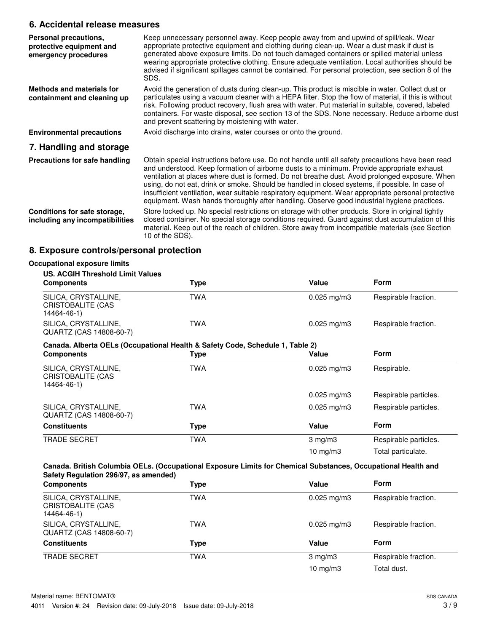## **6. Accidental release measures**

| Personal precautions,<br>protective equipment and<br>emergency procedures | Keep unnecessary personnel away. Keep people away from and upwind of spill/leak. Wear<br>appropriate protective equipment and clothing during clean-up. Wear a dust mask if dust is<br>generated above exposure limits. Do not touch damaged containers or spilled material unless<br>wearing appropriate protective clothing. Ensure adequate ventilation. Local authorities should be<br>advised if significant spillages cannot be contained. For personal protection, see section 8 of the<br>SDS.                                                                                                      |
|---------------------------------------------------------------------------|-------------------------------------------------------------------------------------------------------------------------------------------------------------------------------------------------------------------------------------------------------------------------------------------------------------------------------------------------------------------------------------------------------------------------------------------------------------------------------------------------------------------------------------------------------------------------------------------------------------|
| Methods and materials for<br>containment and cleaning up                  | Avoid the generation of dusts during clean-up. This product is miscible in water. Collect dust or<br>particulates using a vacuum cleaner with a HEPA filter. Stop the flow of material, if this is without<br>risk. Following product recovery, flush area with water. Put material in suitable, covered, labeled<br>containers. For waste disposal, see section 13 of the SDS. None necessary. Reduce airborne dust<br>and prevent scattering by moistening with water.                                                                                                                                    |
| <b>Environmental precautions</b>                                          | Avoid discharge into drains, water courses or onto the ground.                                                                                                                                                                                                                                                                                                                                                                                                                                                                                                                                              |
| 7. Handling and storage                                                   |                                                                                                                                                                                                                                                                                                                                                                                                                                                                                                                                                                                                             |
| Precautions for safe handling                                             | Obtain special instructions before use. Do not handle until all safety precautions have been read<br>and understood. Keep formation of airborne dusts to a minimum. Provide appropriate exhaust<br>ventilation at places where dust is formed. Do not breathe dust. Avoid prolonged exposure. When<br>using, do not eat, drink or smoke. Should be handled in closed systems, if possible. In case of<br>insufficient ventilation, wear suitable respiratory equipment. Wear appropriate personal protective<br>equipment. Wash hands thoroughly after handling. Observe good industrial hygiene practices. |
| Conditions for safe storage,<br>including any incompatibilities           | Store locked up. No special restrictions on storage with other products. Store in original tightly<br>closed container. No special storage conditions required. Guard against dust accumulation of this<br>material. Keep out of the reach of children. Store away from incompatible materials (see Section<br>10 of the SDS).                                                                                                                                                                                                                                                                              |

# **8. Exposure controls/personal protection**

| <b>US. ACGIH Threshold Limit Values</b>                                       |            |                         |                       |
|-------------------------------------------------------------------------------|------------|-------------------------|-----------------------|
| <b>Components</b>                                                             | Type       | Value                   | <b>Form</b>           |
| SILICA, CRYSTALLINE,<br><b>CRISTOBALITE (CAS</b><br>14464-46-1)               | <b>TWA</b> | $0.025$ mg/m3           | Respirable fraction.  |
| SILICA, CRYSTALLINE,<br>QUARTZ (CAS 14808-60-7)                               | <b>TWA</b> | $0.025 \,\mathrm{mg/m}$ | Respirable fraction.  |
| Canada. Alberta OELs (Occupational Health & Safety Code, Schedule 1, Table 2) |            |                         |                       |
| <b>Components</b>                                                             | Type       | Value                   | <b>Form</b>           |
| SILICA, CRYSTALLINE,<br>CRISTOBALITE (CAS<br>14464-46-1)                      | <b>TWA</b> | $0.025$ mg/m3           | Respirable.           |
|                                                                               |            | $0.025$ mg/m3           | Respirable particles. |
| SILICA, CRYSTALLINE,<br>QUARTZ (CAS 14808-60-7)                               | TWA        | $0.025 \,\mathrm{mg/m}$ | Respirable particles. |
| <b>Constituents</b>                                                           | Type       | Value                   | Form                  |
| <b>TRADE SECRET</b>                                                           | <b>TWA</b> | $3 \text{ mg/m}$        | Respirable particles. |
|                                                                               |            | 10 $mg/m3$              | Total particulate.    |

| <b>Components</b>                                        | <b>Type</b> | Value                   | Form                 |
|----------------------------------------------------------|-------------|-------------------------|----------------------|
| SILICA, CRYSTALLINE,<br>CRISTOBALITE (CAS<br>14464-46-1) | TWA         | $0.025 \,\mathrm{mg/m}$ | Respirable fraction. |
| SILICA, CRYSTALLINE,<br>QUARTZ (CAS 14808-60-7)          | TWA         | $0.025 \text{ mg/m}$ 3  | Respirable fraction. |
| <b>Constituents</b>                                      | Type        | Value                   | Form                 |
| <b>TRADE SECRET</b>                                      | <b>TWA</b>  | $3 \text{ mg/m}$        | Respirable fraction. |
|                                                          |             | 10 $mg/m3$              | Total dust.          |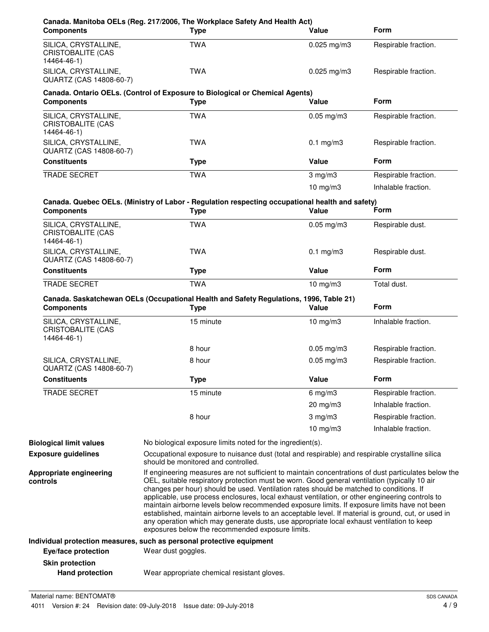| SILICA, CRYSTALLINE,                                            | <b>Type</b>                                                                                                                                                                                                                                                                                                                                                                                                                                                                                                                                                                                                                                                                                                                                                  | Value           | <b>Form</b>          |
|-----------------------------------------------------------------|--------------------------------------------------------------------------------------------------------------------------------------------------------------------------------------------------------------------------------------------------------------------------------------------------------------------------------------------------------------------------------------------------------------------------------------------------------------------------------------------------------------------------------------------------------------------------------------------------------------------------------------------------------------------------------------------------------------------------------------------------------------|-----------------|----------------------|
| CRISTOBALITE (CAS<br>14464-46-1)                                | <b>TWA</b>                                                                                                                                                                                                                                                                                                                                                                                                                                                                                                                                                                                                                                                                                                                                                   | $0.025$ mg/m3   | Respirable fraction. |
| SILICA, CRYSTALLINE,<br>QUARTZ (CAS 14808-60-7)                 | <b>TWA</b>                                                                                                                                                                                                                                                                                                                                                                                                                                                                                                                                                                                                                                                                                                                                                   | $0.025$ mg/m3   | Respirable fraction. |
| <b>Components</b>                                               | Canada. Ontario OELs. (Control of Exposure to Biological or Chemical Agents)<br><b>Type</b>                                                                                                                                                                                                                                                                                                                                                                                                                                                                                                                                                                                                                                                                  | Value           | <b>Form</b>          |
| SILICA, CRYSTALLINE,<br><b>CRISTOBALITE (CAS</b><br>14464-46-1) | <b>TWA</b>                                                                                                                                                                                                                                                                                                                                                                                                                                                                                                                                                                                                                                                                                                                                                   | $0.05$ mg/m $3$ | Respirable fraction. |
| SILICA, CRYSTALLINE,<br>QUARTZ (CAS 14808-60-7)                 | <b>TWA</b>                                                                                                                                                                                                                                                                                                                                                                                                                                                                                                                                                                                                                                                                                                                                                   | $0.1$ mg/m $3$  | Respirable fraction. |
| <b>Constituents</b>                                             | <b>Type</b>                                                                                                                                                                                                                                                                                                                                                                                                                                                                                                                                                                                                                                                                                                                                                  | Value           | <b>Form</b>          |
| <b>TRADE SECRET</b>                                             | <b>TWA</b>                                                                                                                                                                                                                                                                                                                                                                                                                                                                                                                                                                                                                                                                                                                                                   | $3$ mg/m $3$    | Respirable fraction. |
|                                                                 |                                                                                                                                                                                                                                                                                                                                                                                                                                                                                                                                                                                                                                                                                                                                                              | $10$ mg/m $3$   | Inhalable fraction.  |
| <b>Components</b>                                               | Canada. Quebec OELs. (Ministry of Labor - Regulation respecting occupational health and safety)<br><b>Type</b>                                                                                                                                                                                                                                                                                                                                                                                                                                                                                                                                                                                                                                               | Value           | Form                 |
| SILICA, CRYSTALLINE,<br><b>CRISTOBALITE (CAS</b><br>14464-46-1) | <b>TWA</b>                                                                                                                                                                                                                                                                                                                                                                                                                                                                                                                                                                                                                                                                                                                                                   | $0.05$ mg/m $3$ | Respirable dust.     |
| SILICA, CRYSTALLINE,<br>QUARTZ (CAS 14808-60-7)                 | <b>TWA</b>                                                                                                                                                                                                                                                                                                                                                                                                                                                                                                                                                                                                                                                                                                                                                   | $0.1$ mg/m $3$  | Respirable dust.     |
| <b>Constituents</b>                                             | <b>Type</b>                                                                                                                                                                                                                                                                                                                                                                                                                                                                                                                                                                                                                                                                                                                                                  | Value           | <b>Form</b>          |
| TRADE SECRET                                                    | <b>TWA</b>                                                                                                                                                                                                                                                                                                                                                                                                                                                                                                                                                                                                                                                                                                                                                   | $10$ mg/m $3$   | Total dust.          |
| <b>Components</b>                                               | Canada. Saskatchewan OELs (Occupational Health and Safety Regulations, 1996, Table 21)<br><b>Type</b>                                                                                                                                                                                                                                                                                                                                                                                                                                                                                                                                                                                                                                                        | Value           | <b>Form</b>          |
| SILICA, CRYSTALLINE,<br><b>CRISTOBALITE (CAS</b><br>14464-46-1) | 15 minute                                                                                                                                                                                                                                                                                                                                                                                                                                                                                                                                                                                                                                                                                                                                                    | $10$ mg/m $3$   | Inhalable fraction.  |
|                                                                 | 8 hour                                                                                                                                                                                                                                                                                                                                                                                                                                                                                                                                                                                                                                                                                                                                                       | $0.05$ mg/m3    | Respirable fraction. |
|                                                                 | 8 hour                                                                                                                                                                                                                                                                                                                                                                                                                                                                                                                                                                                                                                                                                                                                                       | $0.05$ mg/m $3$ | Respirable fraction. |
| SILICA, CRYSTALLINE,<br>QUARTZ (CAS 14808-60-7)                 |                                                                                                                                                                                                                                                                                                                                                                                                                                                                                                                                                                                                                                                                                                                                                              |                 |                      |
| <b>Constituents</b>                                             | <b>Type</b>                                                                                                                                                                                                                                                                                                                                                                                                                                                                                                                                                                                                                                                                                                                                                  | Value           | Form                 |
| <b>TRADE SECRET</b>                                             | 15 minute                                                                                                                                                                                                                                                                                                                                                                                                                                                                                                                                                                                                                                                                                                                                                    | $6$ mg/m $3$    | Respirable fraction. |
|                                                                 |                                                                                                                                                                                                                                                                                                                                                                                                                                                                                                                                                                                                                                                                                                                                                              | 20 mg/m3        | Inhalable fraction.  |
|                                                                 | 8 hour                                                                                                                                                                                                                                                                                                                                                                                                                                                                                                                                                                                                                                                                                                                                                       | $3$ mg/m $3$    | Respirable fraction. |
|                                                                 |                                                                                                                                                                                                                                                                                                                                                                                                                                                                                                                                                                                                                                                                                                                                                              | 10 $mg/m3$      | Inhalable fraction.  |
|                                                                 |                                                                                                                                                                                                                                                                                                                                                                                                                                                                                                                                                                                                                                                                                                                                                              |                 |                      |
| <b>Biological limit values</b><br><b>Exposure guidelines</b>    | No biological exposure limits noted for the ingredient(s).<br>Occupational exposure to nuisance dust (total and respirable) and respirable crystalline silica<br>should be monitored and controlled.                                                                                                                                                                                                                                                                                                                                                                                                                                                                                                                                                         |                 |                      |
| Appropriate engineering<br>controls                             | If engineering measures are not sufficient to maintain concentrations of dust particulates below the<br>OEL, suitable respiratory protection must be worn. Good general ventilation (typically 10 air<br>changes per hour) should be used. Ventilation rates should be matched to conditions. If<br>applicable, use process enclosures, local exhaust ventilation, or other engineering controls to<br>maintain airborne levels below recommended exposure limits. If exposure limits have not been<br>established, maintain airborne levels to an acceptable level. If material is ground, cut, or used in<br>any operation which may generate dusts, use appropriate local exhaust ventilation to keep<br>exposures below the recommended exposure limits. |                 |                      |
|                                                                 | Individual protection measures, such as personal protective equipment                                                                                                                                                                                                                                                                                                                                                                                                                                                                                                                                                                                                                                                                                        |                 |                      |
| Eye/face protection                                             | Wear dust goggles.                                                                                                                                                                                                                                                                                                                                                                                                                                                                                                                                                                                                                                                                                                                                           |                 |                      |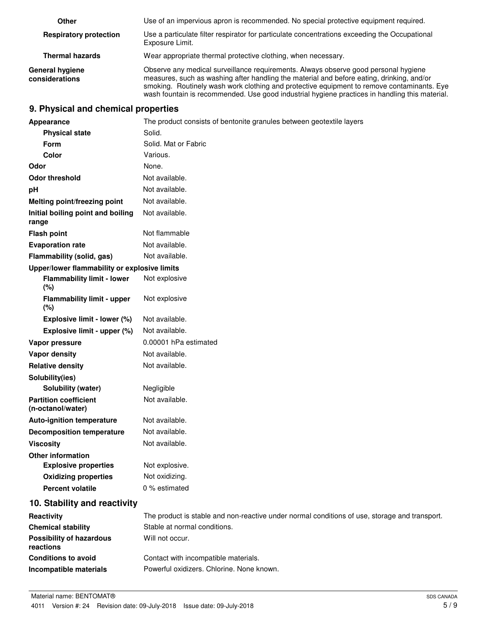| Other                                    | Use of an impervious apron is recommended. No special protective equipment required.                                                                                                                                                                                                                                                                                             |
|------------------------------------------|----------------------------------------------------------------------------------------------------------------------------------------------------------------------------------------------------------------------------------------------------------------------------------------------------------------------------------------------------------------------------------|
| <b>Respiratory protection</b>            | Use a particulate filter respirator for particulate concentrations exceeding the Occupational<br>Exposure Limit.                                                                                                                                                                                                                                                                 |
| <b>Thermal hazards</b>                   | Wear appropriate thermal protective clothing, when necessary.                                                                                                                                                                                                                                                                                                                    |
| <b>General hygiene</b><br>considerations | Observe any medical surveillance requirements. Always observe good personal hygiene<br>measures, such as washing after handling the material and before eating, drinking, and/or<br>smoking. Routinely wash work clothing and protective equipment to remove contaminants. Eye<br>wash fountain is recommended. Use good industrial hygiene practices in handling this material. |

# **9. Physical and chemical properties**

| Appearance                                        | The product consists of bentonite granules between geotextile layers                          |
|---------------------------------------------------|-----------------------------------------------------------------------------------------------|
| <b>Physical state</b>                             | Solid.                                                                                        |
| Form                                              | Solid. Mat or Fabric                                                                          |
| Color                                             | Various.                                                                                      |
| Odor                                              | None.                                                                                         |
| <b>Odor threshold</b>                             | Not available.                                                                                |
| pH                                                | Not available.                                                                                |
| Melting point/freezing point                      | Not available.                                                                                |
| Initial boiling point and boiling<br>range        | Not available.                                                                                |
| <b>Flash point</b>                                | Not flammable                                                                                 |
| <b>Evaporation rate</b>                           | Not available.                                                                                |
| Flammability (solid, gas)                         | Not available.                                                                                |
| Upper/lower flammability or explosive limits      |                                                                                               |
| <b>Flammability limit - lower</b><br>(%)          | Not explosive                                                                                 |
| <b>Flammability limit - upper</b><br>(%)          | Not explosive                                                                                 |
| Explosive limit - lower (%)                       | Not available.                                                                                |
| Explosive limit - upper (%)                       | Not available.                                                                                |
| Vapor pressure                                    | 0.00001 hPa estimated                                                                         |
| Vapor density                                     | Not available.                                                                                |
| <b>Relative density</b>                           | Not available.                                                                                |
| Solubility(ies)                                   |                                                                                               |
| Solubility (water)                                | Negligible                                                                                    |
| <b>Partition coefficient</b><br>(n-octanol/water) | Not available.                                                                                |
| <b>Auto-ignition temperature</b>                  | Not available.                                                                                |
| <b>Decomposition temperature</b>                  | Not available.                                                                                |
| <b>Viscosity</b>                                  | Not available.                                                                                |
| <b>Other information</b>                          |                                                                                               |
| <b>Explosive properties</b>                       | Not explosive.                                                                                |
| <b>Oxidizing properties</b>                       | Not oxidizing.                                                                                |
| <b>Percent volatile</b>                           | 0 % estimated                                                                                 |
| 10. Stability and reactivity                      |                                                                                               |
| Reactivity                                        | The product is stable and non-reactive under normal conditions of use, storage and transport. |
| <b>Chemical stability</b>                         | Stable at normal conditions.                                                                  |
| <b>Possibility of hazardous</b><br>reactions      | Will not occur.                                                                               |
| <b>Conditions to avoid</b>                        | Contact with incompatible materials.                                                          |
| Incompatible materials                            | Powerful oxidizers. Chlorine. None known.                                                     |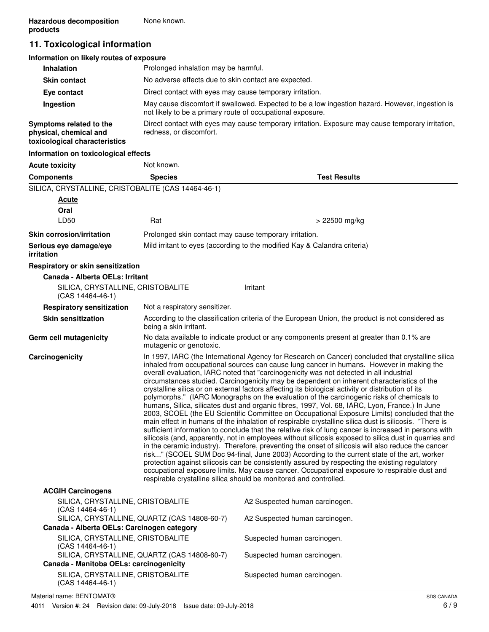# **11. Toxicological information**

| Information on likely routes of exposure                                           |                                                                                                                                                               |
|------------------------------------------------------------------------------------|---------------------------------------------------------------------------------------------------------------------------------------------------------------|
| <b>Inhalation</b>                                                                  | Prolonged inhalation may be harmful.                                                                                                                          |
| <b>Skin contact</b>                                                                | No adverse effects due to skin contact are expected.                                                                                                          |
| Eye contact                                                                        | Direct contact with eyes may cause temporary irritation.                                                                                                      |
| Ingestion                                                                          | May cause discomfort if swallowed. Expected to be a low ingestion hazard. However, ingestion is<br>not likely to be a primary route of occupational exposure. |
| Symptoms related to the<br>physical, chemical and<br>toxicological characteristics | Direct contact with eyes may cause temporary irritation. Exposure may cause temporary irritation,<br>redness, or discomfort.                                  |
| Information on toxicological effects                                               |                                                                                                                                                               |

| <b>Acute toxicity</b>                                   | Not known.                                                                                                                                                                                                                                                                                                                                                                                                                                                                                                                                                                                                                                                                                                                                                                                                                                                                                                                                                                                                                                                                                                                                                                                                                                                                                                                                                                                                                                                                                                                                                                                         |                                                                                                  |
|---------------------------------------------------------|----------------------------------------------------------------------------------------------------------------------------------------------------------------------------------------------------------------------------------------------------------------------------------------------------------------------------------------------------------------------------------------------------------------------------------------------------------------------------------------------------------------------------------------------------------------------------------------------------------------------------------------------------------------------------------------------------------------------------------------------------------------------------------------------------------------------------------------------------------------------------------------------------------------------------------------------------------------------------------------------------------------------------------------------------------------------------------------------------------------------------------------------------------------------------------------------------------------------------------------------------------------------------------------------------------------------------------------------------------------------------------------------------------------------------------------------------------------------------------------------------------------------------------------------------------------------------------------------------|--------------------------------------------------------------------------------------------------|
| <b>Components</b>                                       | <b>Species</b>                                                                                                                                                                                                                                                                                                                                                                                                                                                                                                                                                                                                                                                                                                                                                                                                                                                                                                                                                                                                                                                                                                                                                                                                                                                                                                                                                                                                                                                                                                                                                                                     | <b>Test Results</b>                                                                              |
| SILICA, CRYSTALLINE, CRISTOBALITE (CAS 14464-46-1)      |                                                                                                                                                                                                                                                                                                                                                                                                                                                                                                                                                                                                                                                                                                                                                                                                                                                                                                                                                                                                                                                                                                                                                                                                                                                                                                                                                                                                                                                                                                                                                                                                    |                                                                                                  |
| Acute                                                   |                                                                                                                                                                                                                                                                                                                                                                                                                                                                                                                                                                                                                                                                                                                                                                                                                                                                                                                                                                                                                                                                                                                                                                                                                                                                                                                                                                                                                                                                                                                                                                                                    |                                                                                                  |
| Oral                                                    |                                                                                                                                                                                                                                                                                                                                                                                                                                                                                                                                                                                                                                                                                                                                                                                                                                                                                                                                                                                                                                                                                                                                                                                                                                                                                                                                                                                                                                                                                                                                                                                                    |                                                                                                  |
| LD50                                                    | Rat                                                                                                                                                                                                                                                                                                                                                                                                                                                                                                                                                                                                                                                                                                                                                                                                                                                                                                                                                                                                                                                                                                                                                                                                                                                                                                                                                                                                                                                                                                                                                                                                | > 22500 mg/kg                                                                                    |
| <b>Skin corrosion/irritation</b>                        | Prolonged skin contact may cause temporary irritation.                                                                                                                                                                                                                                                                                                                                                                                                                                                                                                                                                                                                                                                                                                                                                                                                                                                                                                                                                                                                                                                                                                                                                                                                                                                                                                                                                                                                                                                                                                                                             |                                                                                                  |
| Serious eye damage/eye<br><i>irritation</i>             |                                                                                                                                                                                                                                                                                                                                                                                                                                                                                                                                                                                                                                                                                                                                                                                                                                                                                                                                                                                                                                                                                                                                                                                                                                                                                                                                                                                                                                                                                                                                                                                                    | Mild irritant to eyes (according to the modified Kay & Calandra criteria)                        |
| Respiratory or skin sensitization                       |                                                                                                                                                                                                                                                                                                                                                                                                                                                                                                                                                                                                                                                                                                                                                                                                                                                                                                                                                                                                                                                                                                                                                                                                                                                                                                                                                                                                                                                                                                                                                                                                    |                                                                                                  |
| Canada - Alberta OELs: Irritant                         |                                                                                                                                                                                                                                                                                                                                                                                                                                                                                                                                                                                                                                                                                                                                                                                                                                                                                                                                                                                                                                                                                                                                                                                                                                                                                                                                                                                                                                                                                                                                                                                                    |                                                                                                  |
| SILICA, CRYSTALLINE, CRISTOBALITE<br>$(CAS 14464-46-1)$ |                                                                                                                                                                                                                                                                                                                                                                                                                                                                                                                                                                                                                                                                                                                                                                                                                                                                                                                                                                                                                                                                                                                                                                                                                                                                                                                                                                                                                                                                                                                                                                                                    | Irritant                                                                                         |
| <b>Respiratory sensitization</b>                        | Not a respiratory sensitizer.                                                                                                                                                                                                                                                                                                                                                                                                                                                                                                                                                                                                                                                                                                                                                                                                                                                                                                                                                                                                                                                                                                                                                                                                                                                                                                                                                                                                                                                                                                                                                                      |                                                                                                  |
| <b>Skin sensitization</b>                               | being a skin irritant.                                                                                                                                                                                                                                                                                                                                                                                                                                                                                                                                                                                                                                                                                                                                                                                                                                                                                                                                                                                                                                                                                                                                                                                                                                                                                                                                                                                                                                                                                                                                                                             | According to the classification criteria of the European Union, the product is not considered as |
| Germ cell mutagenicity                                  | mutagenic or genotoxic.                                                                                                                                                                                                                                                                                                                                                                                                                                                                                                                                                                                                                                                                                                                                                                                                                                                                                                                                                                                                                                                                                                                                                                                                                                                                                                                                                                                                                                                                                                                                                                            | No data available to indicate product or any components present at greater than 0.1% are         |
| Carcinogenicity                                         | In 1997, IARC (the International Agency for Research on Cancer) concluded that crystalline silica<br>inhaled from occupational sources can cause lung cancer in humans. However in making the<br>overall evaluation, IARC noted that "carcinogenicity was not detected in all industrial<br>circumstances studied. Carcinogenicity may be dependent on inherent characteristics of the<br>crystalline silica or on external factors affecting its biological activity or distribution of its<br>polymorphs." (IARC Monographs on the evaluation of the carcinogenic risks of chemicals to<br>humans, Silica, silicates dust and organic fibres, 1997, Vol. 68, IARC, Lyon, France.) In June<br>2003, SCOEL (the EU Scientific Committee on Occupational Exposure Limits) concluded that the<br>main effect in humans of the inhalation of respirable crystalline silica dust is silicosis. "There is<br>sufficient information to conclude that the relative risk of lung cancer is increased in persons with<br>silicosis (and, apparently, not in employees without silicosis exposed to silica dust in quarries and<br>in the ceramic industry). Therefore, preventing the onset of silicosis will also reduce the cancer<br>risk" (SCOEL SUM Doc 94-final, June 2003) According to the current state of the art, worker<br>protection against silicosis can be consistently assured by respecting the existing regulatory<br>occupational exposure limits. May cause cancer. Occupational exposure to respirable dust and<br>respirable crystalline silica should be monitored and controlled. |                                                                                                  |
| <b>ACGIH Carcinogens</b>                                |                                                                                                                                                                                                                                                                                                                                                                                                                                                                                                                                                                                                                                                                                                                                                                                                                                                                                                                                                                                                                                                                                                                                                                                                                                                                                                                                                                                                                                                                                                                                                                                                    |                                                                                                  |
| SILICA, CRYSTALLINE, CRISTOBALITE<br>(CAS 14464-46-1)   |                                                                                                                                                                                                                                                                                                                                                                                                                                                                                                                                                                                                                                                                                                                                                                                                                                                                                                                                                                                                                                                                                                                                                                                                                                                                                                                                                                                                                                                                                                                                                                                                    | A2 Suspected human carcinogen.                                                                   |
| Canada - Alberta OELs: Carcinogen category              | SILICA, CRYSTALLINE, QUARTZ (CAS 14808-60-7)                                                                                                                                                                                                                                                                                                                                                                                                                                                                                                                                                                                                                                                                                                                                                                                                                                                                                                                                                                                                                                                                                                                                                                                                                                                                                                                                                                                                                                                                                                                                                       | A2 Suspected human carcinogen.                                                                   |
| SILICA, CRYSTALLINE, CRISTOBALITE                       |                                                                                                                                                                                                                                                                                                                                                                                                                                                                                                                                                                                                                                                                                                                                                                                                                                                                                                                                                                                                                                                                                                                                                                                                                                                                                                                                                                                                                                                                                                                                                                                                    | Suspected human carcinogen.                                                                      |
| $(CAS 14464-46-1)$                                      | SILICA, CRYSTALLINE, QUARTZ (CAS 14808-60-7)                                                                                                                                                                                                                                                                                                                                                                                                                                                                                                                                                                                                                                                                                                                                                                                                                                                                                                                                                                                                                                                                                                                                                                                                                                                                                                                                                                                                                                                                                                                                                       | Suspected human carcinogen.                                                                      |
| Canada - Manitoba OELs: carcinogenicity                 |                                                                                                                                                                                                                                                                                                                                                                                                                                                                                                                                                                                                                                                                                                                                                                                                                                                                                                                                                                                                                                                                                                                                                                                                                                                                                                                                                                                                                                                                                                                                                                                                    |                                                                                                  |
| SILICA, CRYSTALLINE, CRISTOBALITE                       |                                                                                                                                                                                                                                                                                                                                                                                                                                                                                                                                                                                                                                                                                                                                                                                                                                                                                                                                                                                                                                                                                                                                                                                                                                                                                                                                                                                                                                                                                                                                                                                                    | Suspected human carcinogen.                                                                      |

(CAS 14464-46-1)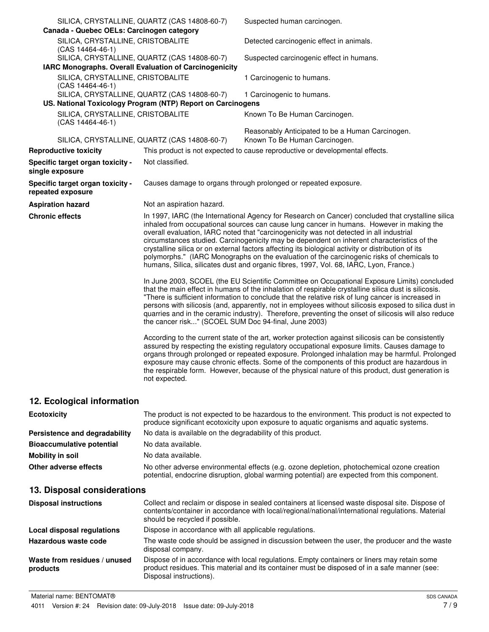| Canada - Quebec OELs: Carcinogen category              | SILICA, CRYSTALLINE, QUARTZ (CAS 14808-60-7)                                                                | Suspected human carcinogen.                                                                                                                                                                                                                                                                                                                                                                                                                                                                                                                                                                                                                                                         |
|--------------------------------------------------------|-------------------------------------------------------------------------------------------------------------|-------------------------------------------------------------------------------------------------------------------------------------------------------------------------------------------------------------------------------------------------------------------------------------------------------------------------------------------------------------------------------------------------------------------------------------------------------------------------------------------------------------------------------------------------------------------------------------------------------------------------------------------------------------------------------------|
| SILICA, CRYSTALLINE, CRISTOBALITE<br>(CAS 14464-46-1)  |                                                                                                             | Detected carcinogenic effect in animals.                                                                                                                                                                                                                                                                                                                                                                                                                                                                                                                                                                                                                                            |
|                                                        | SILICA, CRYSTALLINE, QUARTZ (CAS 14808-60-7)                                                                | Suspected carcinogenic effect in humans.                                                                                                                                                                                                                                                                                                                                                                                                                                                                                                                                                                                                                                            |
| IARC Monographs. Overall Evaluation of Carcinogenicity |                                                                                                             |                                                                                                                                                                                                                                                                                                                                                                                                                                                                                                                                                                                                                                                                                     |
| SILICA, CRYSTALLINE, CRISTOBALITE<br>(CAS 14464-46-1)  |                                                                                                             | 1 Carcinogenic to humans.                                                                                                                                                                                                                                                                                                                                                                                                                                                                                                                                                                                                                                                           |
|                                                        | SILICA, CRYSTALLINE, QUARTZ (CAS 14808-60-7)<br>US. National Toxicology Program (NTP) Report on Carcinogens | 1 Carcinogenic to humans.                                                                                                                                                                                                                                                                                                                                                                                                                                                                                                                                                                                                                                                           |
| SILICA, CRYSTALLINE, CRISTOBALITE<br>(CAS 14464-46-1)  |                                                                                                             | Known To Be Human Carcinogen.                                                                                                                                                                                                                                                                                                                                                                                                                                                                                                                                                                                                                                                       |
|                                                        | SILICA, CRYSTALLINE, QUARTZ (CAS 14808-60-7)                                                                | Reasonably Anticipated to be a Human Carcinogen.<br>Known To Be Human Carcinogen.                                                                                                                                                                                                                                                                                                                                                                                                                                                                                                                                                                                                   |
| <b>Reproductive toxicity</b>                           |                                                                                                             | This product is not expected to cause reproductive or developmental effects.                                                                                                                                                                                                                                                                                                                                                                                                                                                                                                                                                                                                        |
| Specific target organ toxicity -<br>single exposure    | Not classified.                                                                                             |                                                                                                                                                                                                                                                                                                                                                                                                                                                                                                                                                                                                                                                                                     |
| Specific target organ toxicity -<br>repeated exposure  |                                                                                                             | Causes damage to organs through prolonged or repeated exposure.                                                                                                                                                                                                                                                                                                                                                                                                                                                                                                                                                                                                                     |
| <b>Aspiration hazard</b>                               | Not an aspiration hazard.                                                                                   |                                                                                                                                                                                                                                                                                                                                                                                                                                                                                                                                                                                                                                                                                     |
| <b>Chronic effects</b>                                 |                                                                                                             | In 1997, IARC (the International Agency for Research on Cancer) concluded that crystalline silica<br>inhaled from occupational sources can cause lung cancer in humans. However in making the<br>overall evaluation, IARC noted that "carcinogenicity was not detected in all industrial<br>circumstances studied. Carcinogenicity may be dependent on inherent characteristics of the<br>crystalline silica or on external factors affecting its biological activity or distribution of its<br>polymorphs." (IARC Monographs on the evaluation of the carcinogenic risks of chemicals to<br>humans, Silica, silicates dust and organic fibres, 1997, Vol. 68, IARC, Lyon, France.) |
|                                                        | the cancer risk" (SCOEL SUM Doc 94-final, June 2003)                                                        | In June 2003, SCOEL (the EU Scientific Committee on Occupational Exposure Limits) concluded<br>that the main effect in humans of the inhalation of respirable crystalline silica dust is silicosis.<br>"There is sufficient information to conclude that the relative risk of lung cancer is increased in<br>persons with silicosis (and, apparently, not in employees without silicosis exposed to silica dust in<br>quarries and in the ceramic industry). Therefore, preventing the onset of silicosis will also reduce                                                                                                                                                          |
|                                                        | not expected.                                                                                               | According to the current state of the art, worker protection against silicosis can be consistently<br>assured by respecting the existing regulatory occupational exposure limits. Causes damage to<br>organs through prolonged or repeated exposure. Prolonged inhalation may be harmful. Prolonged<br>exposure may cause chronic effects. Some of the components of this product are hazardous in<br>the respirable form. However, because of the physical nature of this product, dust generation is                                                                                                                                                                              |
| 12. Ecological information                             |                                                                                                             |                                                                                                                                                                                                                                                                                                                                                                                                                                                                                                                                                                                                                                                                                     |

| <b>Ecotoxicity</b>               | The product is not expected to be hazardous to the environment. This product is not expected to<br>produce significant ecotoxicity upon exposure to aquatic organisms and aquatic systems. |
|----------------------------------|--------------------------------------------------------------------------------------------------------------------------------------------------------------------------------------------|
| Persistence and degradability    | No data is available on the degradability of this product.                                                                                                                                 |
| <b>Bioaccumulative potential</b> | No data available.                                                                                                                                                                         |
| Mobility in soil                 | No data available.                                                                                                                                                                         |
| Other adverse effects            | No other adverse environmental effects (e.g. ozone depletion, photochemical ozone creation<br>potential, endocrine disruption, global warming potential) are expected from this component. |

# **13. Disposal considerations**

| <b>Disposal instructions</b>             | Collect and reclaim or dispose in sealed containers at licensed waste disposal site. Dispose of<br>contents/container in accordance with local/regional/national/international regulations. Material<br>should be recycled if possible. |
|------------------------------------------|-----------------------------------------------------------------------------------------------------------------------------------------------------------------------------------------------------------------------------------------|
| Local disposal regulations               | Dispose in accordance with all applicable regulations.                                                                                                                                                                                  |
| Hazardous waste code                     | The waste code should be assigned in discussion between the user, the producer and the waste<br>disposal company.                                                                                                                       |
| Waste from residues / unused<br>products | Dispose of in accordance with local regulations. Empty containers or liners may retain some<br>product residues. This material and its container must be disposed of in a safe manner (see:<br>Disposal instructions).                  |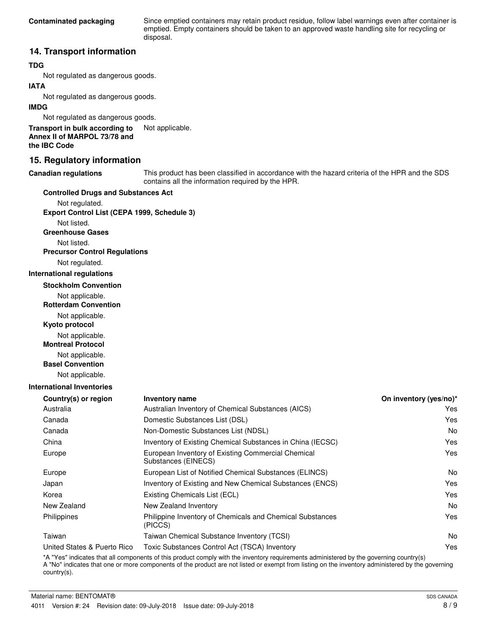Since emptied containers may retain product residue, follow label warnings even after container is emptied. Empty containers should be taken to an approved waste handling site for recycling or disposal.

## **14. Transport information**

## **TDG**

Not regulated as dangerous goods.

## **IATA**

Not regulated as dangerous goods.

### **IMDG**

Not regulated as dangerous goods.

**Transport in bulk according to** Not applicable. **Annex II of MARPOL 73/78 and the IBC Code**

## **15. Regulatory information**

#### **Canadian regulations**

This product has been classified in accordance with the hazard criteria of the HPR and the SDS contains all the information required by the HPR.

#### **Controlled Drugs and Substances Act**

Not regulated. **Export Control List (CEPA 1999, Schedule 3)**

Not listed.

**Greenhouse Gases**

Not listed.

**Precursor Control Regulations**

Not regulated.

#### **International regulations**

**Stockholm Convention**

Not applicable.

**Rotterdam Convention**

Not applicable.

**Kyoto protocol**

Not applicable.

**Montreal Protocol**

Not applicable.

**Basel Convention**

Not applicable.

### **International Inventories**

| <b>Inventory name</b>                                                     | On inventory (yes/no)* |
|---------------------------------------------------------------------------|------------------------|
| Australian Inventory of Chemical Substances (AICS)                        | Yes                    |
| Domestic Substances List (DSL)                                            | Yes                    |
| Non-Domestic Substances List (NDSL)                                       | No.                    |
| Inventory of Existing Chemical Substances in China (IECSC)                | Yes                    |
| European Inventory of Existing Commercial Chemical<br>Substances (EINECS) | Yes                    |
| European List of Notified Chemical Substances (ELINCS)                    | N <sub>0</sub>         |
| Inventory of Existing and New Chemical Substances (ENCS)                  | Yes                    |
| Existing Chemicals List (ECL)                                             | Yes                    |
| New Zealand Inventory                                                     | No.                    |
| Philippine Inventory of Chemicals and Chemical Substances<br>(PICCS)      | Yes                    |
| Taiwan Chemical Substance Inventory (TCSI)                                | No.                    |
| Toxic Substances Control Act (TSCA) Inventory                             | Yes                    |
|                                                                           |                        |

\*A "Yes" indicates that all components of this product comply with the inventory requirements administered by the governing country(s) A "No" indicates that one or more components of the product are not listed or exempt from listing on the inventory administered by the governing country(s).